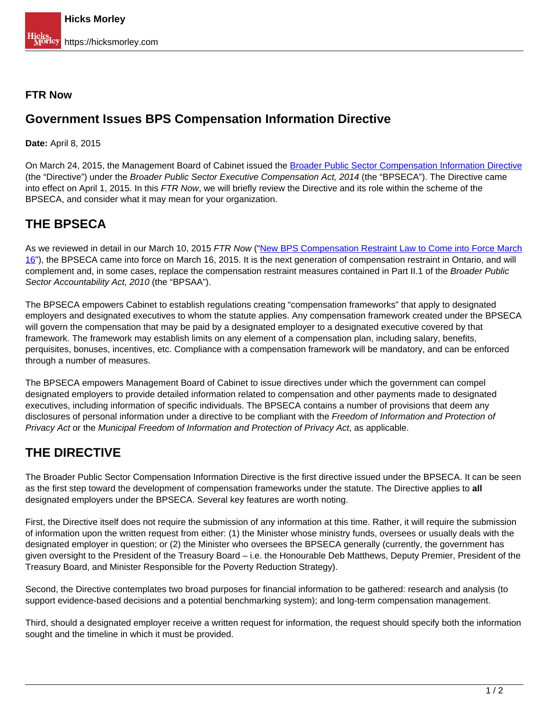#### **FTR Now**

### **Government Issues BPS Compensation Information Directive**

**Date:** April 8, 2015

On March 24, 2015, the Management Board of Cabinet issued the [Broader Public Sector Compensation Information Directive](https://dr6j45jk9xcmk.cloudfront.net/documents/4230/broader-public-sector-compensation-information.pdf) (the "Directive") under the Broader Public Sector Executive Compensation Act, 2014 (the "BPSECA"). The Directive came into effect on April 1, 2015. In this FTR Now, we will briefly review the Directive and its role within the scheme of the BPSECA, and consider what it may mean for your organization.

## **THE BPSECA**

As we reviewed in detail in our March 10, 2015 FTR Now ("New BPS Compensation Restraint Law to Come into Force March 16"), the BPSECA came into force on March 16, 2015. It is the next generation of compensation restraint in Ontario, and will complement and, in some cases, replace the compensation restraint measures contained in Part II.1 of the Broader Public Sector Accountability Act, 2010 (the "BPSAA").

The BPSECA empowers Cabinet to establish regulations creating "compensation frameworks" that apply to designated employers and designated executives to whom the statute applies. Any compensation framework created under the BPSECA will govern the compensation that may be paid by a designated employer to a designated executive covered by that framework. The framework may establish limits on any element of a compensation plan, including salary, benefits, perquisites, bonuses, incentives, etc. Compliance with a compensation framework will be mandatory, and can be enforced through a number of measures.

The BPSECA empowers Management Board of Cabinet to issue directives under which the government can compel designated employers to provide detailed information related to compensation and other payments made to designated executives, including information of specific individuals. The BPSECA contains a number of provisions that deem any disclosures of personal information under a directive to be compliant with the Freedom of Information and Protection of Privacy Act or the Municipal Freedom of Information and Protection of Privacy Act, as applicable.

# **THE DIRECTIVE**

The Broader Public Sector Compensation Information Directive is the first directive issued under the BPSECA. It can be seen as the first step toward the development of compensation frameworks under the statute. The Directive applies to **all** designated employers under the BPSECA. Several key features are worth noting.

First, the Directive itself does not require the submission of any information at this time. Rather, it will require the submission of information upon the written request from either: (1) the Minister whose ministry funds, oversees or usually deals with the designated employer in question; or (2) the Minister who oversees the BPSECA generally (currently, the government has given oversight to the President of the Treasury Board – i.e. the Honourable Deb Matthews, Deputy Premier, President of the Treasury Board, and Minister Responsible for the Poverty Reduction Strategy).

Second, the Directive contemplates two broad purposes for financial information to be gathered: research and analysis (to support evidence-based decisions and a potential benchmarking system); and long-term compensation management.

Third, should a designated employer receive a written request for information, the request should specify both the information sought and the timeline in which it must be provided.